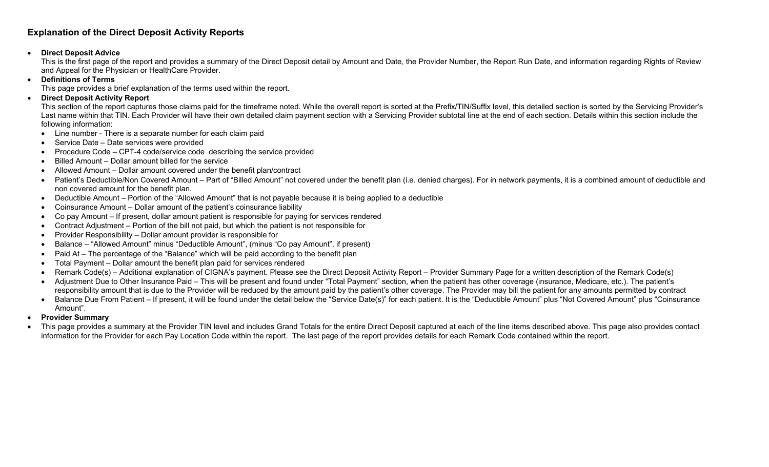## **Explanation of the Direct Deposit Activity Reports**

## •**Direct Deposit Advice**

This is the first page of the report and provides a summary of the Direct Deposit detail by Amount and Date, the Provider Number, the Report Run Date, and information regarding Rights of Review and Appeal for the Physician or HealthCare Provider.

•**Definitions of Terms**

This page provides a brief explanation of the terms used within the report.

•**Direct Deposit Activity Report**

This section of the report captures those claims paid for the timeframe noted. While the overall report is sorted at the Prefix/TIN/Suffix level, this detailed section is sorted by the Servicing Provider's Last name within that TIN. Each Provider will have their own detailed claim payment section with a Servicing Provider subtotal line at the end of each section. Details within this section include the following information:

- Line number There is a separate number for each claim paid
- Service Date Date services were provided
- Procedure Code CPT-4 code/service code describing the service provided
- Billed Amount Dollar amount billed for the service
- Allowed Amount Dollar amount covered under the benefit plan/contract
- Patient's Deductible/Non Covered Amount Part of "Billed Amount" not covered under the benefit plan (i.e. denied charges). For in network payments, it is a combined amount of deductible and non covered amount for the benefit plan.
- Deductible Amount Portion of the "Allowed Amount" that is not payable because it is being applied to a deductible
- Coinsurance Amount Dollar amount of the patient's coinsurance liability
- Co pay Amount If present, dollar amount patient is responsible for paying for services rendered
- Contract Adjustment Portion of the bill not paid, but which the patient is not responsible for
- Provider Responsibility Dollar amount provider is responsible for
- Balance "Allowed Amount" minus "Deductible Amount", (minus "Co pay Amount", if present)
- Paid At The percentage of the "Balance" which will be paid according to the benefit plan
- Total Payment Dollar amount the benefit plan paid for services rendered
- Remark Code(s) Additional explanation of CIGNA's payment. Please see the Direct Deposit Activity Report Provider Summary Page for a written description of the Remark Code(s)
- Adjustment Due to Other Insurance Paid This will be present and found under "Total Payment" section, when the patient has other coverage (insurance, Medicare, etc.). The patient's responsibility amount that is due to the Provider will be reduced by the amount paid by the patient's other coverage. The Provider may bill the patient for any amounts permitted by contract
- Balance Due From Patient If present, it will be found under the detail below the "Service Date(s)" for each patient. It is the "Deductible Amount" plus "Not Covered Amount" plus "Coinsurance Amount".
- •**Provider Summary**
- This page provides a summary at the Provider TIN level and includes Grand Totals for the entire Direct Deposit captured at each of the line items described above. This page also provides contact information for the Provider for each Pay Location Code within the report. The last page of the report provides details for each Remark Code contained within the report.